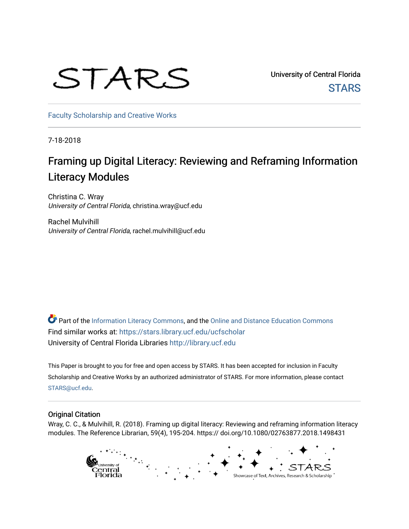# STARS

University of Central Florida **STARS** 

[Faculty Scholarship and Creative Works](https://stars.library.ucf.edu/ucfscholar) 

7-18-2018

## Framing up Digital Literacy: Reviewing and Reframing Information Literacy Modules

Christina C. Wray University of Central Florida, christina.wray@ucf.edu

Rachel Mulvihill University of Central Florida, rachel.mulvihill@ucf.edu

Part of the [Information Literacy Commons](http://network.bepress.com/hgg/discipline/1243?utm_source=stars.library.ucf.edu%2Fucfscholar%2F776&utm_medium=PDF&utm_campaign=PDFCoverPages), and the [Online and Distance Education Commons](http://network.bepress.com/hgg/discipline/1296?utm_source=stars.library.ucf.edu%2Fucfscholar%2F776&utm_medium=PDF&utm_campaign=PDFCoverPages) Find similar works at: <https://stars.library.ucf.edu/ucfscholar> University of Central Florida Libraries [http://library.ucf.edu](http://library.ucf.edu/) 

This Paper is brought to you for free and open access by STARS. It has been accepted for inclusion in Faculty Scholarship and Creative Works by an authorized administrator of STARS. For more information, please contact [STARS@ucf.edu](mailto:STARS@ucf.edu).

#### Original Citation

Wray, C. C., & Mulvihill, R. (2018). Framing up digital literacy: Reviewing and reframing information literacy modules. The Reference Librarian, 59(4), 195-204. https:// doi.org/10.1080/02763877.2018.1498431

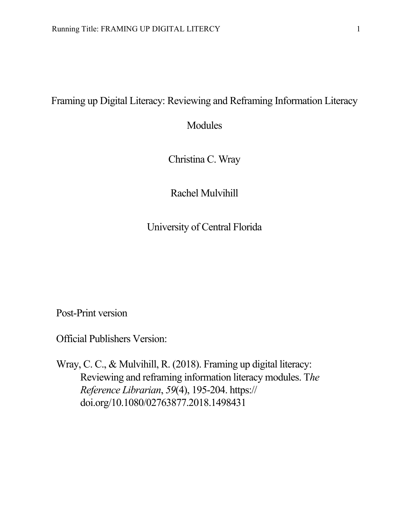### Framing up Digital Literacy: Reviewing and Reframing Information Literacy

Modules

Christina C. Wray

Rachel Mulvihill

University of Central Florida

Post-Print version

Official Publishers Version:

Wray, C. C., & Mulvihill, R. (2018). Framing up digital literacy: Reviewing and reframing information literacy modules. T*he Reference Librarian*, *59*(4), 195-204. https:// doi.org/10.1080/02763877.2018.1498431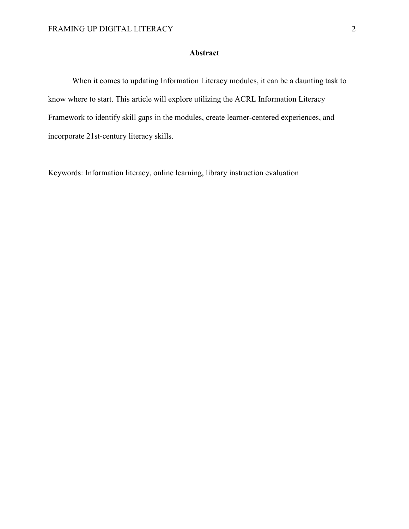#### **Abstract**

When it comes to updating Information Literacy modules, it can be a daunting task to know where to start. This article will explore utilizing the ACRL Information Literacy Framework to identify skill gaps in the modules, create learner-centered experiences, and incorporate 21st-century literacy skills.

Keywords: Information literacy, online learning, library instruction evaluation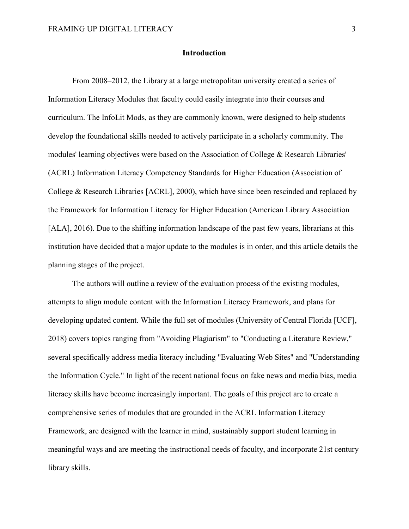#### **Introduction**

From 2008–2012, the Library at a large metropolitan university created a series of Information Literacy Modules that faculty could easily integrate into their courses and curriculum. The InfoLit Mods, as they are commonly known, were designed to help students develop the foundational skills needed to actively participate in a scholarly community. The modules' learning objectives were based on the Association of College & Research Libraries' (ACRL) Information Literacy Competency Standards for Higher Education (Association of College & Research Libraries [ACRL], 2000), which have since been rescinded and replaced by the Framework for Information Literacy for Higher Education (American Library Association [ALA], 2016). Due to the shifting information landscape of the past few years, librarians at this institution have decided that a major update to the modules is in order, and this article details the planning stages of the project.

The authors will outline a review of the evaluation process of the existing modules, attempts to align module content with the Information Literacy Framework, and plans for developing updated content. While the full set of modules (University of Central Florida [UCF], 2018) covers topics ranging from "Avoiding Plagiarism" to "Conducting a Literature Review," several specifically address media literacy including "Evaluating Web Sites" and "Understanding the Information Cycle." In light of the recent national focus on fake news and media bias, media literacy skills have become increasingly important. The goals of this project are to create a comprehensive series of modules that are grounded in the ACRL Information Literacy Framework, are designed with the learner in mind, sustainably support student learning in meaningful ways and are meeting the instructional needs of faculty, and incorporate 21st century library skills.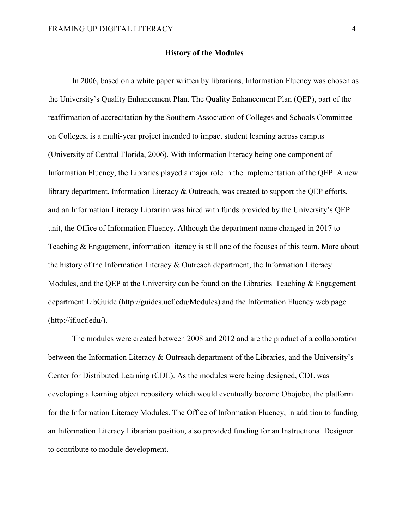#### **History of the Modules**

In 2006, based on a white paper written by librarians, Information Fluency was chosen as the University's Quality Enhancement Plan. The Quality Enhancement Plan (QEP), part of the reaffirmation of accreditation by the Southern Association of Colleges and Schools Committee on Colleges, is a multi-year project intended to impact student learning across campus (University of Central Florida, 2006). With information literacy being one component of Information Fluency, the Libraries played a major role in the implementation of the QEP. A new library department, Information Literacy & Outreach, was created to support the QEP efforts, and an Information Literacy Librarian was hired with funds provided by the University's QEP unit, the Office of Information Fluency. Although the department name changed in 2017 to Teaching & Engagement, information literacy is still one of the focuses of this team. More about the history of the Information Literacy & Outreach department, the Information Literacy Modules, and the QEP at the University can be found on the Libraries' Teaching & Engagement department LibGuide (http://guides.ucf.edu/Modules) and the Information Fluency web page (http://if.ucf.edu/).

The modules were created between 2008 and 2012 and are the product of a collaboration between the Information Literacy & Outreach department of the Libraries, and the University's Center for Distributed Learning (CDL). As the modules were being designed, CDL was developing a learning object repository which would eventually become Obojobo, the platform for the Information Literacy Modules. The Office of Information Fluency, in addition to funding an Information Literacy Librarian position, also provided funding for an Instructional Designer to contribute to module development.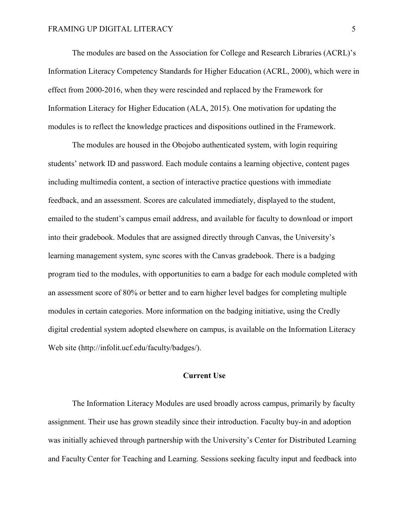The modules are based on the Association for College and Research Libraries (ACRL)'s Information Literacy Competency Standards for Higher Education (ACRL, 2000), which were in effect from 2000-2016, when they were rescinded and replaced by the Framework for Information Literacy for Higher Education (ALA, 2015). One motivation for updating the modules is to reflect the knowledge practices and dispositions outlined in the Framework.

The modules are housed in the Obojobo authenticated system, with login requiring students' network ID and password. Each module contains a learning objective, content pages including multimedia content, a section of interactive practice questions with immediate feedback, and an assessment. Scores are calculated immediately, displayed to the student, emailed to the student's campus email address, and available for faculty to download or import into their gradebook. Modules that are assigned directly through Canvas, the University's learning management system, sync scores with the Canvas gradebook. There is a badging program tied to the modules, with opportunities to earn a badge for each module completed with an assessment score of 80% or better and to earn higher level badges for completing multiple modules in certain categories. More information on the badging initiative, using the Credly digital credential system adopted elsewhere on campus, is available on the Information Literacy Web site (http://infolit.ucf.edu/faculty/badges/).

#### **Current Use**

The Information Literacy Modules are used broadly across campus, primarily by faculty assignment. Their use has grown steadily since their introduction. Faculty buy-in and adoption was initially achieved through partnership with the University's Center for Distributed Learning and Faculty Center for Teaching and Learning. Sessions seeking faculty input and feedback into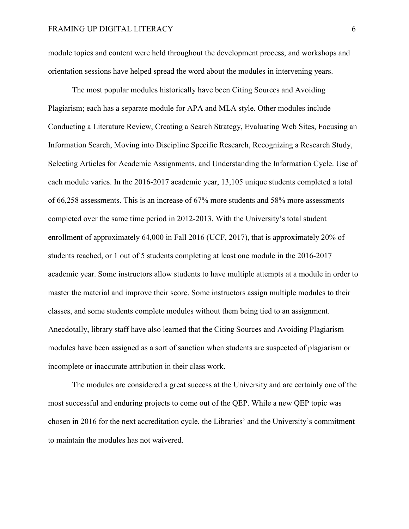module topics and content were held throughout the development process, and workshops and orientation sessions have helped spread the word about the modules in intervening years.

The most popular modules historically have been Citing Sources and Avoiding Plagiarism; each has a separate module for APA and MLA style. Other modules include Conducting a Literature Review, Creating a Search Strategy, Evaluating Web Sites, Focusing an Information Search, Moving into Discipline Specific Research, Recognizing a Research Study, Selecting Articles for Academic Assignments, and Understanding the Information Cycle. Use of each module varies. In the 2016-2017 academic year, 13,105 unique students completed a total of 66,258 assessments. This is an increase of 67% more students and 58% more assessments completed over the same time period in 2012-2013. With the University's total student enrollment of approximately 64,000 in Fall 2016 (UCF, 2017), that is approximately 20% of students reached, or 1 out of 5 students completing at least one module in the 2016-2017 academic year. Some instructors allow students to have multiple attempts at a module in order to master the material and improve their score. Some instructors assign multiple modules to their classes, and some students complete modules without them being tied to an assignment. Anecdotally, library staff have also learned that the Citing Sources and Avoiding Plagiarism modules have been assigned as a sort of sanction when students are suspected of plagiarism or incomplete or inaccurate attribution in their class work.

The modules are considered a great success at the University and are certainly one of the most successful and enduring projects to come out of the QEP. While a new QEP topic was chosen in 2016 for the next accreditation cycle, the Libraries' and the University's commitment to maintain the modules has not waivered.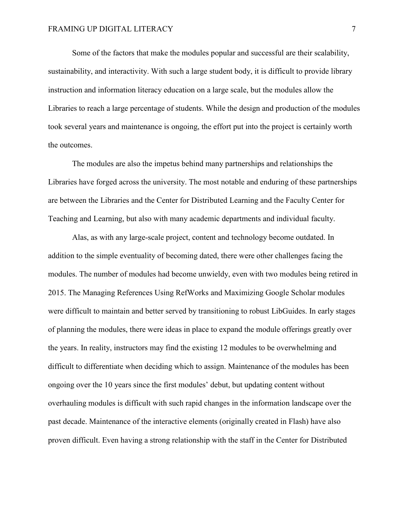Some of the factors that make the modules popular and successful are their scalability, sustainability, and interactivity. With such a large student body, it is difficult to provide library instruction and information literacy education on a large scale, but the modules allow the Libraries to reach a large percentage of students. While the design and production of the modules took several years and maintenance is ongoing, the effort put into the project is certainly worth the outcomes.

The modules are also the impetus behind many partnerships and relationships the Libraries have forged across the university. The most notable and enduring of these partnerships are between the Libraries and the Center for Distributed Learning and the Faculty Center for Teaching and Learning, but also with many academic departments and individual faculty.

Alas, as with any large-scale project, content and technology become outdated. In addition to the simple eventuality of becoming dated, there were other challenges facing the modules. The number of modules had become unwieldy, even with two modules being retired in 2015. The Managing References Using RefWorks and Maximizing Google Scholar modules were difficult to maintain and better served by transitioning to robust LibGuides. In early stages of planning the modules, there were ideas in place to expand the module offerings greatly over the years. In reality, instructors may find the existing 12 modules to be overwhelming and difficult to differentiate when deciding which to assign. Maintenance of the modules has been ongoing over the 10 years since the first modules' debut, but updating content without overhauling modules is difficult with such rapid changes in the information landscape over the past decade. Maintenance of the interactive elements (originally created in Flash) have also proven difficult. Even having a strong relationship with the staff in the Center for Distributed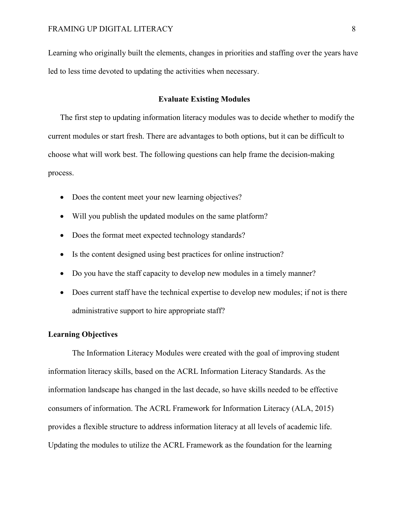Learning who originally built the elements, changes in priorities and staffing over the years have led to less time devoted to updating the activities when necessary.

#### **Evaluate Existing Modules**

The first step to updating information literacy modules was to decide whether to modify the current modules or start fresh. There are advantages to both options, but it can be difficult to choose what will work best. The following questions can help frame the decision-making process.

- Does the content meet your new learning objectives?
- Will you publish the updated modules on the same platform?
- Does the format meet expected technology standards?
- Is the content designed using best practices for online instruction?
- Do you have the staff capacity to develop new modules in a timely manner?
- Does current staff have the technical expertise to develop new modules; if not is there administrative support to hire appropriate staff?

#### **Learning Objectives**

The Information Literacy Modules were created with the goal of improving student information literacy skills, based on the ACRL Information Literacy Standards. As the information landscape has changed in the last decade, so have skills needed to be effective consumers of information. The ACRL Framework for Information Literacy (ALA, 2015) provides a flexible structure to address information literacy at all levels of academic life. Updating the modules to utilize the ACRL Framework as the foundation for the learning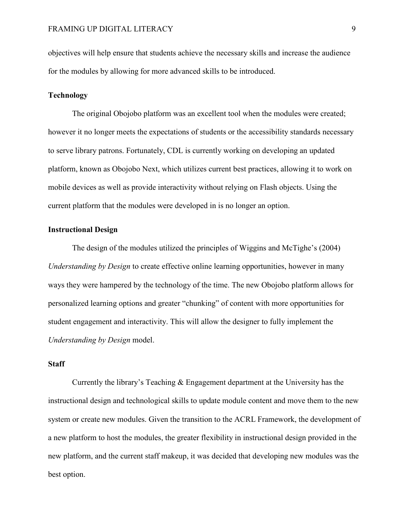objectives will help ensure that students achieve the necessary skills and increase the audience for the modules by allowing for more advanced skills to be introduced.

#### **Technology**

The original Obojobo platform was an excellent tool when the modules were created; however it no longer meets the expectations of students or the accessibility standards necessary to serve library patrons. Fortunately, CDL is currently working on developing an updated platform, known as Obojobo Next, which utilizes current best practices, allowing it to work on mobile devices as well as provide interactivity without relying on Flash objects. Using the current platform that the modules were developed in is no longer an option.

#### **Instructional Design**

The design of the modules utilized the principles of Wiggins and McTighe's (2004) *Understanding by Design* to create effective online learning opportunities, however in many ways they were hampered by the technology of the time. The new Obojobo platform allows for personalized learning options and greater "chunking" of content with more opportunities for student engagement and interactivity. This will allow the designer to fully implement the *Understanding by Design* model.

#### **Staff**

Currently the library's Teaching & Engagement department at the University has the instructional design and technological skills to update module content and move them to the new system or create new modules. Given the transition to the ACRL Framework, the development of a new platform to host the modules, the greater flexibility in instructional design provided in the new platform, and the current staff makeup, it was decided that developing new modules was the best option.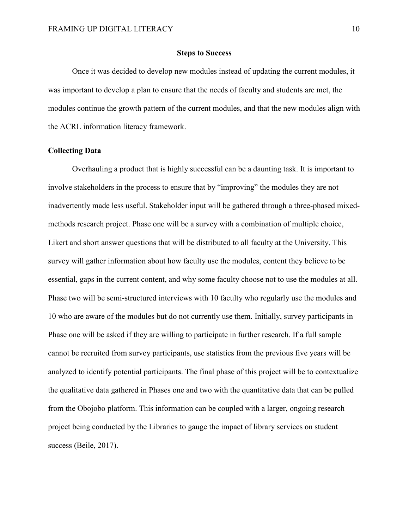#### **Steps to Success**

Once it was decided to develop new modules instead of updating the current modules, it was important to develop a plan to ensure that the needs of faculty and students are met, the modules continue the growth pattern of the current modules, and that the new modules align with the ACRL information literacy framework.

#### **Collecting Data**

Overhauling a product that is highly successful can be a daunting task. It is important to involve stakeholders in the process to ensure that by "improving" the modules they are not inadvertently made less useful. Stakeholder input will be gathered through a three-phased mixedmethods research project. Phase one will be a survey with a combination of multiple choice, Likert and short answer questions that will be distributed to all faculty at the University. This survey will gather information about how faculty use the modules, content they believe to be essential, gaps in the current content, and why some faculty choose not to use the modules at all. Phase two will be semi-structured interviews with 10 faculty who regularly use the modules and 10 who are aware of the modules but do not currently use them. Initially, survey participants in Phase one will be asked if they are willing to participate in further research. If a full sample cannot be recruited from survey participants, use statistics from the previous five years will be analyzed to identify potential participants. The final phase of this project will be to contextualize the qualitative data gathered in Phases one and two with the quantitative data that can be pulled from the Obojobo platform. This information can be coupled with a larger, ongoing research project being conducted by the Libraries to gauge the impact of library services on student success (Beile, 2017).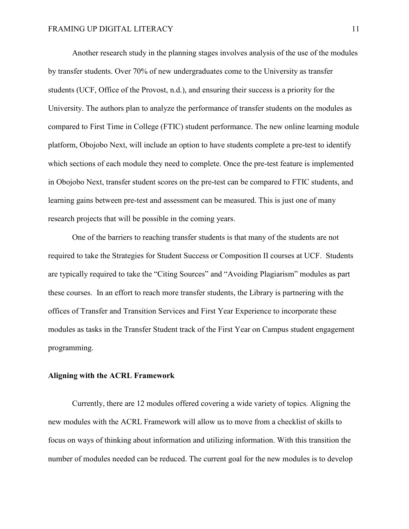Another research study in the planning stages involves analysis of the use of the modules by transfer students. Over 70% of new undergraduates come to the University as transfer students (UCF, Office of the Provost, n.d.), and ensuring their success is a priority for the University. The authors plan to analyze the performance of transfer students on the modules as compared to First Time in College (FTIC) student performance. The new online learning module platform, Obojobo Next, will include an option to have students complete a pre-test to identify which sections of each module they need to complete. Once the pre-test feature is implemented in Obojobo Next, transfer student scores on the pre-test can be compared to FTIC students, and learning gains between pre-test and assessment can be measured. This is just one of many research projects that will be possible in the coming years.

One of the barriers to reaching transfer students is that many of the students are not required to take the Strategies for Student Success or Composition II courses at UCF. Students are typically required to take the "Citing Sources" and "Avoiding Plagiarism" modules as part these courses. In an effort to reach more transfer students, the Library is partnering with the offices of Transfer and Transition Services and First Year Experience to incorporate these modules as tasks in the Transfer Student track of the First Year on Campus student engagement programming.

#### **Aligning with the ACRL Framework**

Currently, there are 12 modules offered covering a wide variety of topics. Aligning the new modules with the ACRL Framework will allow us to move from a checklist of skills to focus on ways of thinking about information and utilizing information. With this transition the number of modules needed can be reduced. The current goal for the new modules is to develop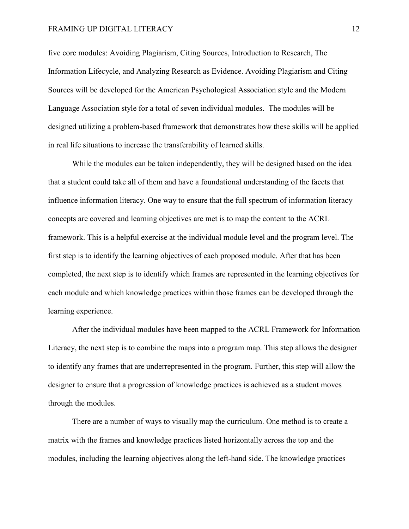#### FRAMING UP DIGITAL LITERACY 12

five core modules: Avoiding Plagiarism, Citing Sources, Introduction to Research, The Information Lifecycle, and Analyzing Research as Evidence. Avoiding Plagiarism and Citing Sources will be developed for the American Psychological Association style and the Modern Language Association style for a total of seven individual modules. The modules will be designed utilizing a problem-based framework that demonstrates how these skills will be applied in real life situations to increase the transferability of learned skills.

While the modules can be taken independently, they will be designed based on the idea that a student could take all of them and have a foundational understanding of the facets that influence information literacy. One way to ensure that the full spectrum of information literacy concepts are covered and learning objectives are met is to map the content to the ACRL framework. This is a helpful exercise at the individual module level and the program level. The first step is to identify the learning objectives of each proposed module. After that has been completed, the next step is to identify which frames are represented in the learning objectives for each module and which knowledge practices within those frames can be developed through the learning experience.

After the individual modules have been mapped to the ACRL Framework for Information Literacy, the next step is to combine the maps into a program map. This step allows the designer to identify any frames that are underrepresented in the program. Further, this step will allow the designer to ensure that a progression of knowledge practices is achieved as a student moves through the modules.

There are a number of ways to visually map the curriculum. One method is to create a matrix with the frames and knowledge practices listed horizontally across the top and the modules, including the learning objectives along the left-hand side. The knowledge practices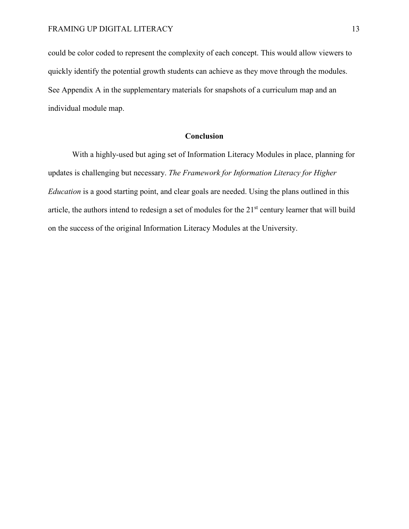could be color coded to represent the complexity of each concept. This would allow viewers to quickly identify the potential growth students can achieve as they move through the modules. See Appendix A in the supplementary materials for snapshots of a curriculum map and an individual module map.

#### **Conclusion**

With a highly-used but aging set of Information Literacy Modules in place, planning for updates is challenging but necessary. *The Framework for Information Literacy for Higher Education* is a good starting point, and clear goals are needed. Using the plans outlined in this article, the authors intend to redesign a set of modules for the 21<sup>st</sup> century learner that will build on the success of the original Information Literacy Modules at the University.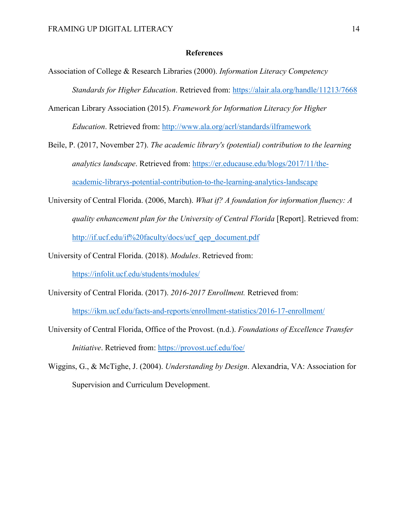#### **References**

- Association of College & Research Libraries (2000). *Information Literacy Competency Standards for Higher Education*. Retrieved from: <https://alair.ala.org/handle/11213/7668>
- American Library Association (2015). *Framework for Information Literacy for Higher Education*. Retrieved from:<http://www.ala.org/acrl/standards/ilframework>
- Beile, P. (2017, November 27). *The academic library's (potential) contribution to the learning analytics landscape*. Retrieved from: [https://er.educause.edu/blogs/2017/11/the](https://er.educause.edu/blogs/2017/11/the-academic-librarys-potential-contribution-to-the-learning-analytics-landscape)[academic-librarys-potential-contribution-to-the-learning-analytics-landscape](https://er.educause.edu/blogs/2017/11/the-academic-librarys-potential-contribution-to-the-learning-analytics-landscape)
- University of Central Florida. (2006, March). *What if? A foundation for information fluency: A quality enhancement plan for the University of Central Florida* [Report]. Retrieved from: [http://if.ucf.edu/if%20faculty/docs/ucf\\_qep\\_document.pdf](http://if.ucf.edu/if%20faculty/docs/ucf_qep_document.pdf)
- University of Central Florida. (2018). *Modules*. Retrieved from:

<https://infolit.ucf.edu/students/modules/>

University of Central Florida. (2017). *2016-2017 Enrollment.* Retrieved from:

<https://ikm.ucf.edu/facts-and-reports/enrollment-statistics/2016-17-enrollment/>

- University of Central Florida, Office of the Provost. (n.d.). *Foundations of Excellence Transfer Initiative*. Retrieved from:<https://provost.ucf.edu/foe/>
- Wiggins, G., & McTighe, J. (2004). *Understanding by Design*. Alexandria, VA: Association for Supervision and Curriculum Development.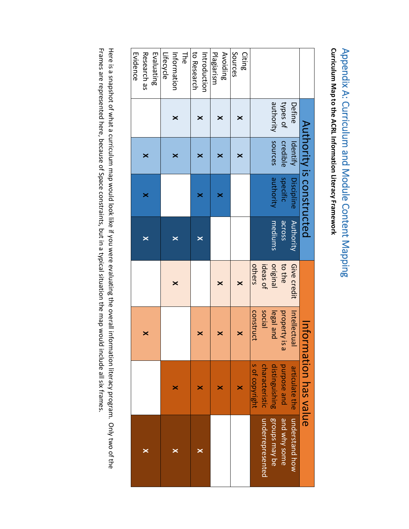# Curriculum Map to the ACRL Information Literacy Framework Appendix A: Curriculum and Module Content Mapping **Curriculum Map to the ACRL Information Literacy Framework** Appendix A: Curriculum and Module Content Mapping

|                      |                  |                             |                           |                  |                          |          |                   | Evidence     |
|----------------------|------------------|-----------------------------|---------------------------|------------------|--------------------------|----------|-------------------|--------------|
|                      |                  | ×                           |                           | ×                | ×                        | ×        |                   | Research as  |
|                      |                  |                             |                           |                  |                          |          |                   | Evaluating   |
|                      |                  |                             |                           |                  |                          |          |                   | Lifecycle    |
|                      | ×                |                             | ×                         | ×                |                          | ×        | ×                 | Information  |
|                      |                  |                             |                           |                  |                          |          |                   | <b>The</b>   |
|                      |                  |                             |                           |                  |                          |          |                   | to Research  |
|                      | ×                | ×                           |                           | ×                | ×                        | ×        | ×                 | Introduction |
|                      |                  |                             |                           |                  |                          |          |                   | Plagiarism   |
|                      | ×                | ×                           | $\boldsymbol{\mathsf{x}}$ |                  | ×                        | ×        | ×                 | Avoiding     |
|                      |                  |                             |                           |                  |                          |          |                   | Sources      |
|                      | ×                | ×                           | $\times$                  |                  |                          | ×        | ×                 | Citing       |
|                      | s of copyright   | construct                   | others                    |                  |                          |          |                   |              |
| underrepresented     | characteristic   | social                      | ideas of                  |                  |                          |          |                   |              |
| <b>Broups may be</b> | distinguishing   | legal and                   | original                  | mediums          | duripority               |          | authority sources |              |
| amd why some         | purpose and      | property is<br>$\mathbf{a}$ | to the                    | across           | specific                 | credible | types of          |              |
| moderstand how       | articulate the   | Intellectua                 | Give credit               | <b>Authority</b> | <b>Discipline</b>        | ldentify | Define            |              |
|                      | mation has value | Inton                       |                           |                  | Authority is constructed |          |                   |              |

Frames are represented here, because of Space constraints, but in a typical situation the map would include all six frames. Here is a snapshot of what a curriculum map would look like if you were evaluating the overall information literacy program. Only two of the Frames are represented here, because of Space constraints, but in a typical situation the map would include all six frames. Here is a snapshot of what a curriculum map would look like if you were evaluating the overall information literacy program. Only two of the